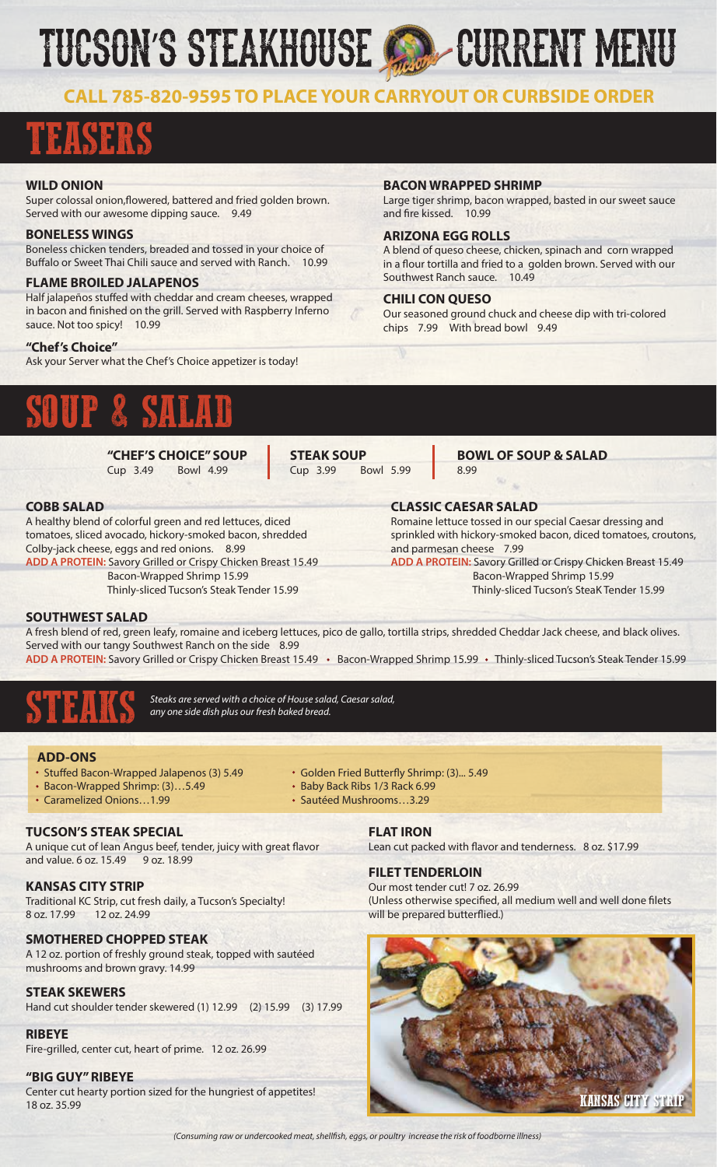# TUCSON'S STEAKHOUSE CO. CURRENT MENU

## **CALL 785-820-9595 TO PLACE YOUR CARRYOUT OR CURBSIDE ORDER**

**ARIZONA EGG ROLLS**

and fire kissed. 10.99

**CHILI CON QUESO**

Southwest Ranch sauce. 10.49

chips 7.99 With bread bowl 9.49

**BACON WRAPPED SHRIMP**

## TEASERS

### **WILD ONION**

Super colossal onion, flowered, battered and fried golden brown. Served with our awesome dipping sauce. 9.49

#### **BONELESS WINGS**

Boneless chicken tenders, breaded and tossed in your choice of Buffalo or Sweet Thai Chili sauce and served with Ranch. 10.99

### **FLAME BROILED JALAPENOS**

Half jalapeños stuffed with cheddar and cream cheeses, wrapped in bacon and finished on the grill. Served with Raspberry Inferno sauce. Not too spicy! 10.99

**"Chef's Choice"**

Ask your Server what the Chef's Choice appetizer is today!

## SOUP & SALAD

**"CHEF'S CHOICE" SOUP** Cup 3.49 Bowl 4.99

**STEAK SOUP** Cup 3.99 Bowl 5.99

#### **BOWL OF SOUP & SALAD** 8.99

A blend of queso cheese, chicken, spinach and corn wrapped in a flour tortilla and fried to a golden brown. Served with our

Our seasoned ground chuck and cheese dip with tri-colored

Large tiger shrimp, bacon wrapped, basted in our sweet sauce

## **COBB SALAD**

A healthy blend of colorful green and red lettuces, diced tomatoes, sliced avocado, hickory-smoked bacon, shredded Colby-jack cheese, eggs and red onions. 8.99 **ADD A PROTEIN:** Savory Grilled or Crispy Chicken Breast 15.49 Bacon-Wrapped Shrimp 15.99

Thinly-sliced Tucson's Steak Tender 15.99

**CLASSIC CAESAR SALAD** Romaine lettuce tossed in our special Caesar dressing and sprinkled with hickory-smoked bacon, diced tomatoes, croutons, and parmesan cheese 7.99 **ADD A PROTEIN:** Savory Grilled or Crispy Chicken Breast 15.49 Bacon-Wrapped Shrimp 15.99 Thinly-sliced Tucson's SteaK Tender 15.99

### **SOUTHWEST SALAD**

A fresh blend of red, green leafy, romaine and iceberg lettuces, pico de gallo, tortilla strips, shredded Cheddar Jack cheese, and black olives. Served with our tangy Southwest Ranch on the side 8.99 ADD A PROTEIN: Savory Grilled or Crispy Chicken Breast 15.49 · Bacon-Wrapped Shrimp 15.99 · Thinly-sliced Tucson's Steak Tender 15.99

• Golden Fried Butterfly Shrimp: (3)... 5.49

Baby Back Ribs 1/3 Rack 6.99 • Sautéed Mushrooms 3.29

STEAKS *Steaks are served with a choice of House salad, Caesar salad, any one side dish plus our fresh baked bread.* 

#### **ADD-ONS**

- Stuffed Bacon-Wrapped Jalapenos (3) 5.49
- Bacon-Wrapped Shrimp: (3)…5.49
- Caramelized Onions 1.99

## **TUCSON'S STEAK SPECIAL**

A unique cut of lean Angus beef, tender, juicy with great flavor and value. 6 oz. 15.49 9 oz. 18.99

## **KANSAS CITY STRIP**

Traditional KC Strip, cut fresh daily, a Tucson's Specialty! 8 oz. 17.99 12 oz. 24.99

### **SMOTHERED CHOPPED STEAK**

A 12 oz. portion of freshly ground steak, topped with sautéed mushrooms and brown gravy. 14.99

### **STEAK SKEWERS**

Hand cut shoulder tender skewered (1) 12.99 (2) 15.99 (3) 17.99

#### **RIBEYE**

Fire-grilled, center cut, heart of prime. 12 oz. 26.99

#### **"BIG GUY" RIBEYE**

Center cut hearty portion sized for the hungriest of appetites!

**FLAT IRON** Lean cut packed with flavor and tenderness. 8 oz. \$17.99

## **FILET TENDERLOIN**

Our most tender cut! 7 oz. 26.99 (Unless otherwise specified, all medium well and well done filets will be prepared butterflied.)